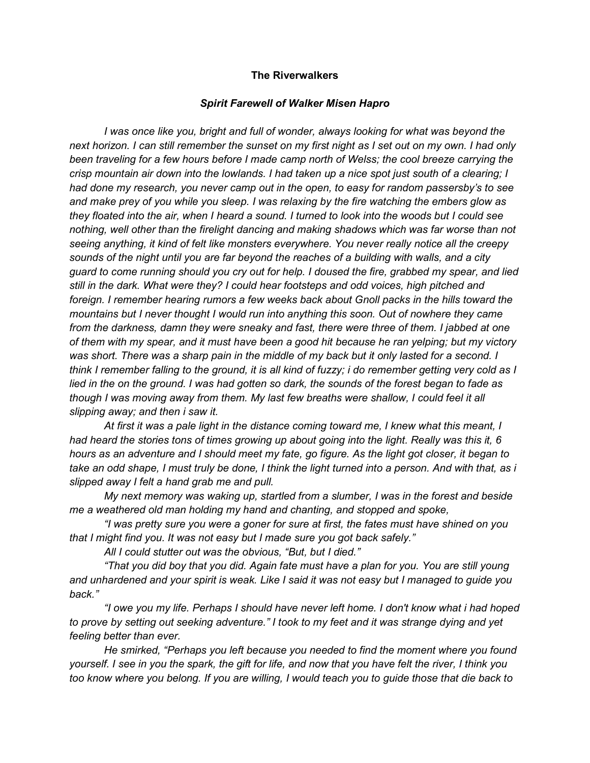### The Riverwalkers

#### Spirit Farewell of Walker Misen Hapro

I was once like you, bright and full of wonder, always looking for what was beyond the next horizon. I can still remember the sunset on my first night as I set out on my own. I had only been traveling for a few hours before I made camp north of Welss; the cool breeze carrying the crisp mountain air down into the lowlands. I had taken up a nice spot just south of a clearing; I had done my research, you never camp out in the open, to easy for random passersby's to see and make prey of you while you sleep. I was relaxing by the fire watching the embers glow as they floated into the air, when I heard a sound. I turned to look into the woods but I could see nothing, well other than the firelight dancing and making shadows which was far worse than not seeing anything, it kind of felt like monsters everywhere. You never really notice all the creepy sounds of the night until you are far beyond the reaches of a building with walls, and a city guard to come running should you cry out for help. I doused the fire, grabbed my spear, and lied still in the dark. What were they? I could hear footsteps and odd voices, high pitched and foreign. I remember hearing rumors a few weeks back about Gnoll packs in the hills toward the mountains but I never thought I would run into anything this soon. Out of nowhere they came from the darkness, damn they were sneaky and fast, there were three of them. I jabbed at one of them with my spear, and it must have been a good hit because he ran yelping; but my victory was short. There was a sharp pain in the middle of my back but it only lasted for a second. I think I remember falling to the ground, it is all kind of fuzzy; i do remember getting very cold as I lied in the on the ground. I was had gotten so dark, the sounds of the forest began to fade as though I was moving away from them. My last few breaths were shallow, I could feel it all slipping away; and then i saw it.

 At first it was a pale light in the distance coming toward me, I knew what this meant, I had heard the stories tons of times growing up about going into the light. Really was this it, 6 hours as an adventure and I should meet my fate, go figure. As the light got closer, it began to take an odd shape, I must truly be done, I think the light turned into a person. And with that, as i slipped away I felt a hand grab me and pull.

 My next memory was waking up, startled from a slumber, I was in the forest and beside me a weathered old man holding my hand and chanting, and stopped and spoke,

 "I was pretty sure you were a goner for sure at first, the fates must have shined on you that I might find you. It was not easy but I made sure you got back safely."

All I could stutter out was the obvious, "But, but I died."

"That you did boy that you did. Again fate must have a plan for you. You are still young and unhardened and your spirit is weak. Like I said it was not easy but I managed to guide you back."

"I owe you my life. Perhaps I should have never left home. I don't know what i had hoped to prove by setting out seeking adventure." I took to my feet and it was strange dying and yet feeling better than ever.

He smirked, "Perhaps you left because you needed to find the moment where you found yourself. I see in you the spark, the gift for life, and now that you have felt the river, I think you too know where you belong. If you are willing, I would teach you to guide those that die back to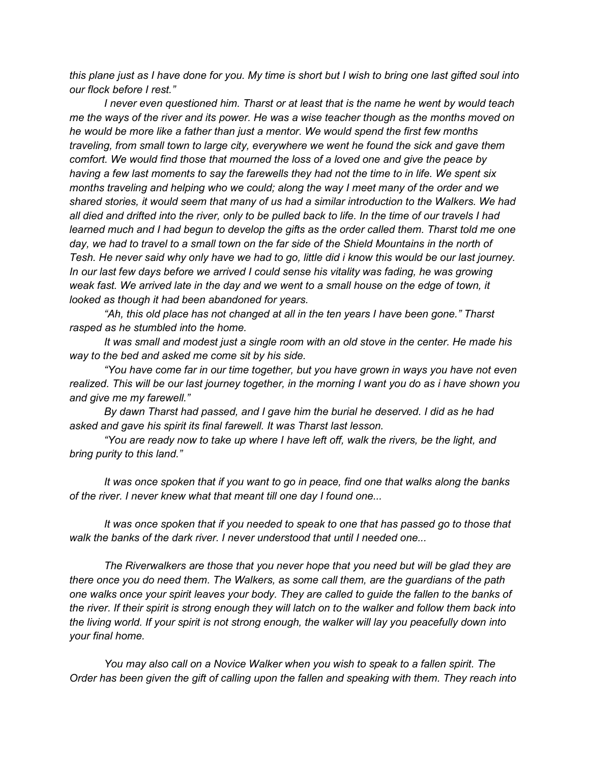this plane just as I have done for you. My time is short but I wish to bring one last gifted soul into our flock before I rest."

I never even questioned him. Tharst or at least that is the name he went by would teach me the ways of the river and its power. He was a wise teacher though as the months moved on he would be more like a father than just a mentor. We would spend the first few months traveling, from small town to large city, everywhere we went he found the sick and gave them comfort. We would find those that mourned the loss of a loved one and give the peace by having a few last moments to say the farewells they had not the time to in life. We spent six months traveling and helping who we could; along the way I meet many of the order and we shared stories, it would seem that many of us had a similar introduction to the Walkers. We had all died and drifted into the river, only to be pulled back to life. In the time of our travels I had learned much and I had begun to develop the gifts as the order called them. Tharst told me one day, we had to travel to a small town on the far side of the Shield Mountains in the north of Tesh. He never said why only have we had to go, little did i know this would be our last journey. In our last few days before we arrived I could sense his vitality was fading, he was growing weak fast. We arrived late in the day and we went to a small house on the edge of town, it looked as though it had been abandoned for years.

"Ah, this old place has not changed at all in the ten years I have been gone." Tharst rasped as he stumbled into the home.

It was small and modest just a single room with an old stove in the center. He made his way to the bed and asked me come sit by his side.

"You have come far in our time together, but you have grown in ways you have not even realized. This will be our last journey together, in the morning I want you do as i have shown you and give me my farewell."

By dawn Tharst had passed, and I gave him the burial he deserved. I did as he had asked and gave his spirit its final farewell. It was Tharst last lesson.

"You are ready now to take up where I have left off, walk the rivers, be the light, and bring purity to this land."

It was once spoken that if you want to go in peace, find one that walks along the banks of the river. I never knew what that meant till one day I found one...

It was once spoken that if you needed to speak to one that has passed go to those that walk the banks of the dark river. I never understood that until I needed one...

The Riverwalkers are those that you never hope that you need but will be glad they are there once you do need them. The Walkers, as some call them, are the guardians of the path one walks once your spirit leaves your body. They are called to guide the fallen to the banks of the river. If their spirit is strong enough they will latch on to the walker and follow them back into the living world. If your spirit is not strong enough, the walker will lay you peacefully down into your final home.

You may also call on a Novice Walker when you wish to speak to a fallen spirit. The Order has been given the gift of calling upon the fallen and speaking with them. They reach into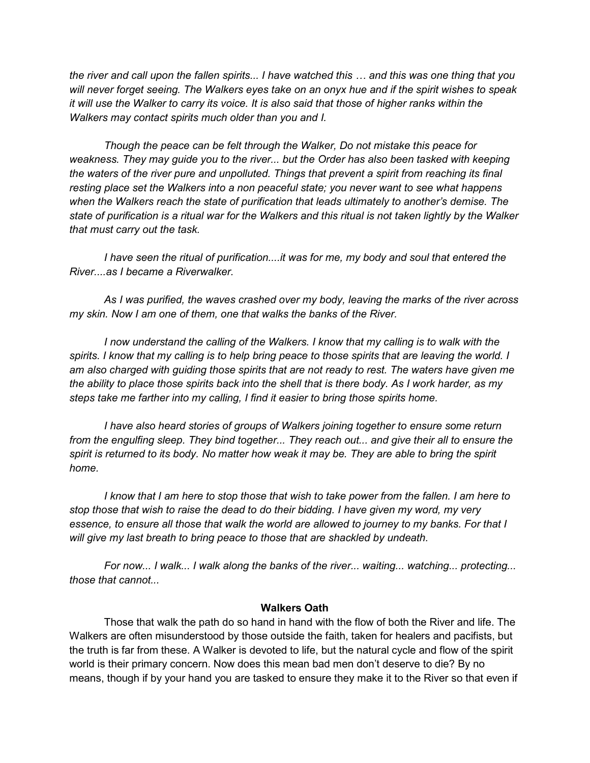the river and call upon the fallen spirits... I have watched this … and this was one thing that you will never forget seeing. The Walkers eyes take on an onyx hue and if the spirit wishes to speak it will use the Walker to carry its voice. It is also said that those of higher ranks within the Walkers may contact spirits much older than you and I.

Though the peace can be felt through the Walker, Do not mistake this peace for weakness. They may guide you to the river... but the Order has also been tasked with keeping the waters of the river pure and unpolluted. Things that prevent a spirit from reaching its final resting place set the Walkers into a non peaceful state; you never want to see what happens when the Walkers reach the state of purification that leads ultimately to another's demise. The state of purification is a ritual war for the Walkers and this ritual is not taken lightly by the Walker that must carry out the task.

I have seen the ritual of purification....it was for me, my body and soul that entered the River....as I became a Riverwalker.

As I was purified, the waves crashed over my body, leaving the marks of the river across my skin. Now I am one of them, one that walks the banks of the River.

I now understand the calling of the Walkers. I know that my calling is to walk with the spirits. I know that my calling is to help bring peace to those spirits that are leaving the world. I am also charged with guiding those spirits that are not ready to rest. The waters have given me the ability to place those spirits back into the shell that is there body. As I work harder, as my steps take me farther into my calling, I find it easier to bring those spirits home.

I have also heard stories of groups of Walkers joining together to ensure some return from the engulfing sleep. They bind together... They reach out... and give their all to ensure the spirit is returned to its body. No matter how weak it may be. They are able to bring the spirit home.

I know that I am here to stop those that wish to take power from the fallen. I am here to stop those that wish to raise the dead to do their bidding. I have given my word, my very essence, to ensure all those that walk the world are allowed to journey to my banks. For that I will give my last breath to bring peace to those that are shackled by undeath.

For now... I walk... I walk along the banks of the river... waiting... watching... protecting... those that cannot...

### Walkers Oath

 Those that walk the path do so hand in hand with the flow of both the River and life. The Walkers are often misunderstood by those outside the faith, taken for healers and pacifists, but the truth is far from these. A Walker is devoted to life, but the natural cycle and flow of the spirit world is their primary concern. Now does this mean bad men don't deserve to die? By no means, though if by your hand you are tasked to ensure they make it to the River so that even if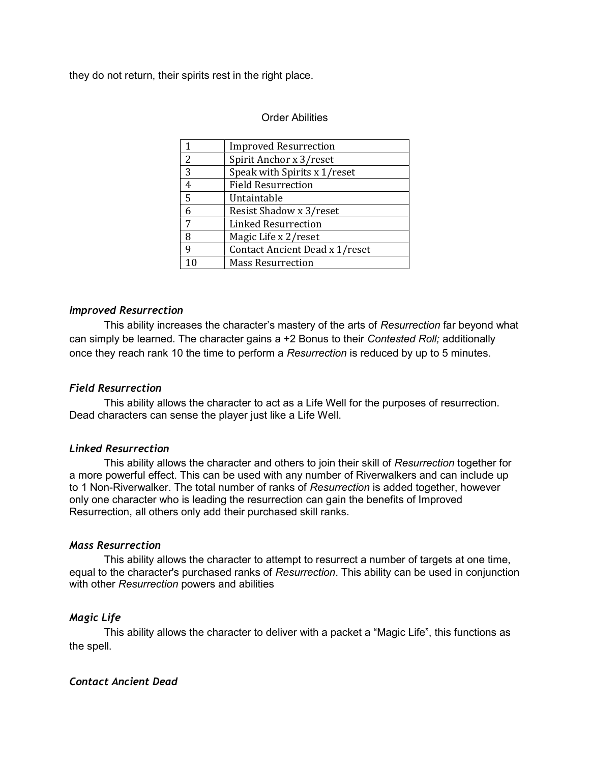they do not return, their spirits rest in the right place.

# Order Abilities

|                | <b>Improved Resurrection</b>   |
|----------------|--------------------------------|
| $\overline{2}$ | Spirit Anchor x 3/reset        |
| 3              | Speak with Spirits x 1/reset   |
| $\overline{4}$ | <b>Field Resurrection</b>      |
| $\overline{5}$ | Untaintable                    |
| 6              | Resist Shadow x 3/reset        |
| 7              | Linked Resurrection            |
| 8              | Magic Life x 2/reset           |
| 9              | Contact Ancient Dead x 1/reset |
|                | <b>Mass Resurrection</b>       |

## Improved Resurrection

This ability increases the character's mastery of the arts of Resurrection far beyond what can simply be learned. The character gains a +2 Bonus to their Contested Roll; additionally once they reach rank 10 the time to perform a Resurrection is reduced by up to 5 minutes.

## Field Resurrection

 This ability allows the character to act as a Life Well for the purposes of resurrection. Dead characters can sense the player just like a Life Well.

### Linked Resurrection

This ability allows the character and others to join their skill of Resurrection together for a more powerful effect. This can be used with any number of Riverwalkers and can include up to 1 Non-Riverwalker. The total number of ranks of Resurrection is added together, however only one character who is leading the resurrection can gain the benefits of Improved Resurrection, all others only add their purchased skill ranks.

### Mass Resurrection

This ability allows the character to attempt to resurrect a number of targets at one time, equal to the character's purchased ranks of Resurrection. This ability can be used in conjunction with other Resurrection powers and abilities

## Magic Life

This ability allows the character to deliver with a packet a "Magic Life", this functions as the spell.

## Contact Ancient Dead